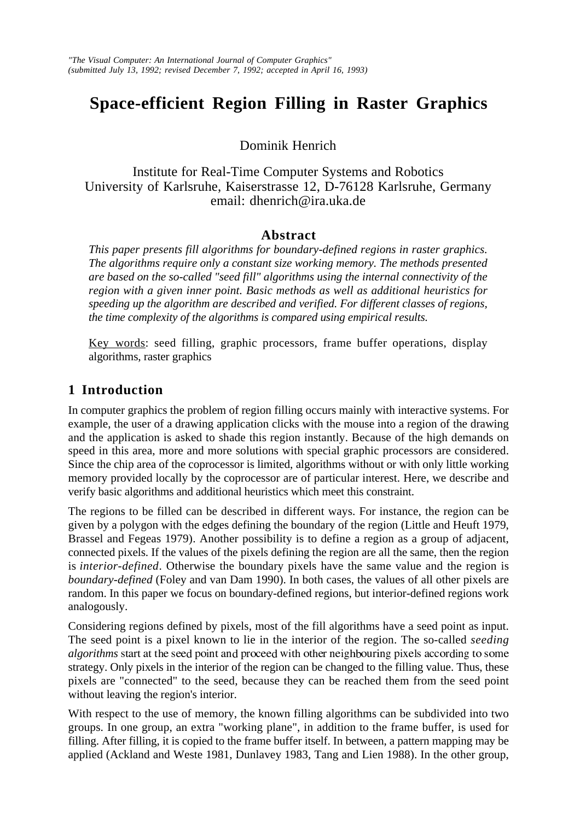# **Space-efficient Region Filling in Raster Graphics**

Dominik Henrich

Institute for Real-Time Computer Systems and Robotics University of Karlsruhe, Kaiserstrasse 12, D-76128 Karlsruhe, Germany email: dhenrich@ira.uka.de

# **Abstract**

*This paper presents fill algorithms for boundary-defined regions in raster graphics. The algorithms require only a constant size working memory. The methods presented are based on the so-called "seed fill" algorithms using the internal connectivity of the region with a given inner point. Basic methods as well as additional heuristics for speeding up the algorithm are described and verified. For different classes of regions, the time complexity of the algorithms is compared using empirical results.*

Key words: seed filling, graphic processors, frame buffer operations, display algorithms, raster graphics

# **1 Introduction**

In computer graphics the problem of region filling occurs mainly with interactive systems. For example, the user of a drawing application clicks with the mouse into a region of the drawing and the application is asked to shade this region instantly. Because of the high demands on speed in this area, more and more solutions with special graphic processors are considered. Since the chip area of the coprocessor is limited, algorithms without or with only little working memory provided locally by the coprocessor are of particular interest. Here, we describe and verify basic algorithms and additional heuristics which meet this constraint.

The regions to be filled can be described in different ways. For instance, the region can be given by a polygon with the edges defining the boundary of the region (Little and Heuft 1979, Brassel and Fegeas 1979). Another possibility is to define a region as a group of adjacent, connected pixels. If the values of the pixels defining the region are all the same, then the region is *interior-defined*. Otherwise the boundary pixels have the same value and the region is *boundary-defined* (Foley and van Dam 1990). In both cases, the values of all other pixels are random. In this paper we focus on boundary-defined regions, but interior-defined regions work analogously.

Considering regions defined by pixels, most of the fill algorithms have a seed point as input. The seed point is a pixel known to lie in the interior of the region. The so-called *seeding* algorithms start at the seed point and proceed with other neighbouring pixels according to some strategy. Only pixels in the interior of the region can be changed to the filling value. Thus, these pixels are "connected" to the seed, because they can be reached them from the seed point without leaving the region's interior.

With respect to the use of memory, the known filling algorithms can be subdivided into two groups. In one group, an extra "working plane", in addition to the frame buffer, is used for filling. After filling, it is copied to the frame buffer itself. In between, a pattern mapping may be applied (Ackland and Weste 1981, Dunlavey 1983, Tang and Lien 1988). In the other group,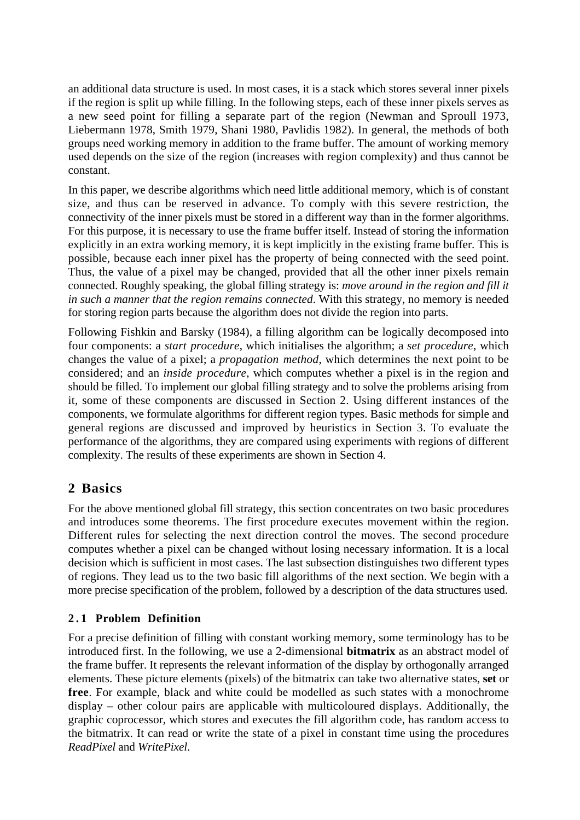an additional data structure is used. In most cases, it is a stack which stores several inner pixels if the region is split up while filling. In the following steps, each of these inner pixels serves as a new seed point for filling a separate part of the region (Newman and Sproull 1973, Liebermann 1978, Smith 1979, Shani 1980, Pavlidis 1982). In general, the methods of both groups need working memory in addition to the frame buffer. The amount of working memory used depends on the size of the region (increases with region complexity) and thus cannot be constant.

In this paper, we describe algorithms which need little additional memory, which is of constant size, and thus can be reserved in advance. To comply with this severe restriction, the connectivity of the inner pixels must be stored in a different way than in the former algorithms. For this purpose, it is necessary to use the frame buffer itself. Instead of storing the information explicitly in an extra working memory, it is kept implicitly in the existing frame buffer. This is possible, because each inner pixel has the property of being connected with the seed point. Thus, the value of a pixel may be changed, provided that all the other inner pixels remain connected. Roughly speaking, the global filling strategy is: *move around in the region and fill it in such a manner that the region remains connected*. With this strategy, no memory is needed for storing region parts because the algorithm does not divide the region into parts.

Following Fishkin and Barsky (1984), a filling algorithm can be logically decomposed into four components: a *start procedure*, which initialises the algorithm; a *set procedure*, which changes the value of a pixel; a *propagation method*, which determines the next point to be considered; and an *inside procedure*, which computes whether a pixel is in the region and should be filled. To implement our global filling strategy and to solve the problems arising from it, some of these components are discussed in Section 2. Using different instances of the components, we formulate algorithms for different region types. Basic methods for simple and general regions are discussed and improved by heuristics in Section 3. To evaluate the performance of the algorithms, they are compared using experiments with regions of different complexity. The results of these experiments are shown in Section 4.

# **2 Basics**

For the above mentioned global fill strategy, this section concentrates on two basic procedures and introduces some theorems. The first procedure executes movement within the region. Different rules for selecting the next direction control the moves. The second procedure computes whether a pixel can be changed without losing necessary information. It is a local decision which is sufficient in most cases. The last subsection distinguishes two different types of regions. They lead us to the two basic fill algorithms of the next section. We begin with a more precise specification of the problem, followed by a description of the data structures used.

### **2.1 Problem Definition**

For a precise definition of filling with constant working memory, some terminology has to be introduced first. In the following, we use a 2-dimensional **bitmatrix** as an abstract model of the frame buffer. It represents the relevant information of the display by orthogonally arranged elements. These picture elements (pixels) of the bitmatrix can take two alternative states, **set** or **free**. For example, black and white could be modelled as such states with a monochrome display – other colour pairs are applicable with multicoloured displays. Additionally, the graphic coprocessor, which stores and executes the fill algorithm code, has random access to the bitmatrix. It can read or write the state of a pixel in constant time using the procedures *ReadPixel* and *WritePixel*.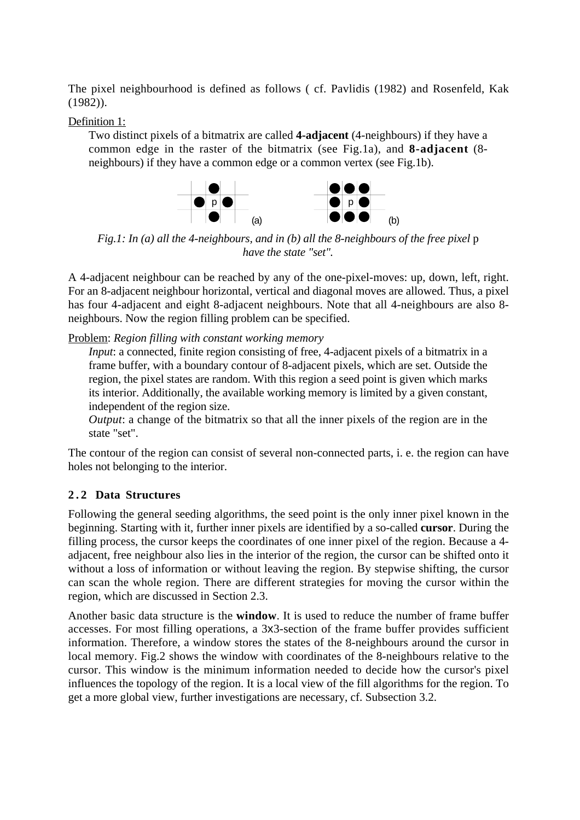The pixel neighbourhood is defined as follows ( cf. Pavlidis (1982) and Rosenfeld, Kak (1982)).

### Definition 1:

Two distinct pixels of a bitmatrix are called **4-adjacent** (4-neighbours) if they have a common edge in the raster of the bitmatrix (see Fig.1a), and **8-adjacent** (8 neighbours) if they have a common edge or a common vertex (see Fig.1b).



*Fig.1: In (a) all the 4-neighbours, and in (b) all the 8-neighbours of the free pixel p have the state "set".*

A 4-adjacent neighbour can be reached by any of the one-pixel-moves: up, down, left, right. For an 8-adjacent neighbour horizontal, vertical and diagonal moves are allowed. Thus, a pixel has four 4-adjacent and eight 8-adjacent neighbours. Note that all 4-neighbours are also 8 neighbours. Now the region filling problem can be specified.

Problem: *Region filling with constant working memory*

*Input*: a connected, finite region consisting of free, 4-adjacent pixels of a bitmatrix in a frame buffer, with a boundary contour of 8-adjacent pixels, which are set. Outside the region, the pixel states are random. With this region a seed point is given which marks its interior. Additionally, the available working memory is limited by a given constant, independent of the region size.

*Output*: a change of the bitmatrix so that all the inner pixels of the region are in the state "set".

The contour of the region can consist of several non-connected parts, i. e. the region can have holes not belonging to the interior.

### **2.2 Data Structures**

Following the general seeding algorithms, the seed point is the only inner pixel known in the beginning. Starting with it, further inner pixels are identified by a so-called **cursor**. During the filling process, the cursor keeps the coordinates of one inner pixel of the region. Because a 4 adjacent, free neighbour also lies in the interior of the region, the cursor can be shifted onto it without a loss of information or without leaving the region. By stepwise shifting, the cursor can scan the whole region. There are different strategies for moving the cursor within the region, which are discussed in Section 2.3.

Another basic data structure is the **window**. It is used to reduce the number of frame buffer accesses. For most filling operations, a 3x3-section of the frame buffer provides sufficient information. Therefore, a window stores the states of the 8-neighbours around the cursor in local memory. Fig.2 shows the window with coordinates of the 8-neighbours relative to the cursor. This window is the minimum information needed to decide how the cursor's pixel influences the topology of the region. It is a local view of the fill algorithms for the region. To get a more global view, further investigations are necessary, cf. Subsection 3.2.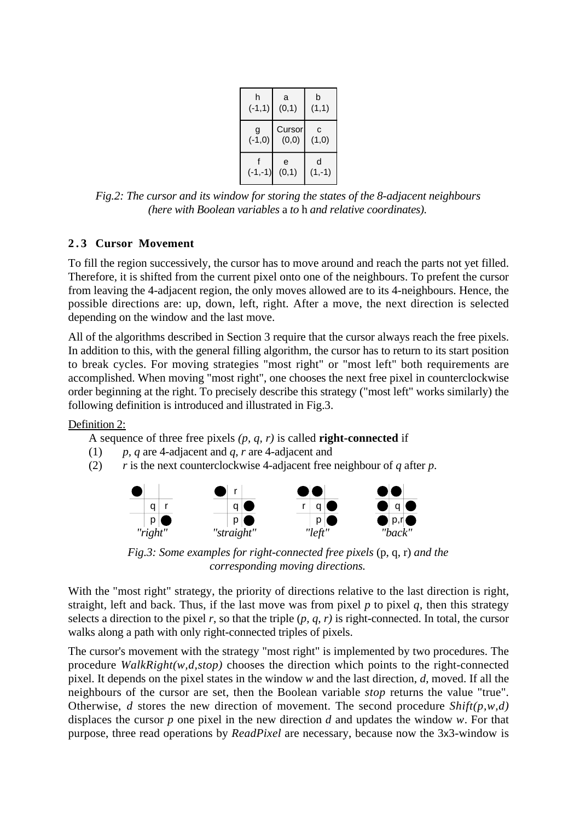| h         | a          | b             |
|-----------|------------|---------------|
| $(-1,1)$  | (0,1)      | (1,1)         |
| g         | Cursor     | C             |
| $(-1, 0)$ | (0, 0)     | (1,0)         |
| $(-1,-1)$ | e<br>(0,1) | d<br>$(1,-1)$ |

*Fig.2: The cursor and its window for storing the states of the 8-adjacent neighbours (here with Boolean variables* a *to* h *and relative coordinates).*

### **2.3 Cursor Movement**

To fill the region successively, the cursor has to move around and reach the parts not yet filled. Therefore, it is shifted from the current pixel onto one of the neighbours. To prefent the cursor from leaving the 4-adjacent region, the only moves allowed are to its 4-neighbours. Hence, the possible directions are: up, down, left, right. After a move, the next direction is selected depending on the window and the last move.

All of the algorithms described in Section 3 require that the cursor always reach the free pixels. In addition to this, with the general filling algorithm, the cursor has to return to its start position to break cycles. For moving strategies "most right" or "most left" both requirements are accomplished. When moving "most right", one chooses the next free pixel in counterclockwise order beginning at the right. To precisely describe this strategy ("most left" works similarly) the following definition is introduced and illustrated in Fig.3.

### Definition 2:

A sequence of three free pixels *(p, q, r)* is called **right-connected** if

- (1) *p, q* are 4-adjacent and *q, r* are 4-adjacent and
- (2) *r* is the next counterclockwise 4-adjacent free neighbour of *q* after *p*.



*Fig.3: Some examples for right-connected free pixels* (p, q, r) *and the corresponding moving directions.*

With the "most right" strategy, the priority of directions relative to the last direction is right, straight, left and back. Thus, if the last move was from pixel  $p$  to pixel  $q$ , then this strategy selects a direction to the pixel  $r$ , so that the triple  $(p, q, r)$  is right-connected. In total, the cursor walks along a path with only right-connected triples of pixels.

The cursor's movement with the strategy "most right" is implemented by two procedures. The procedure *WalkRight(w,d,stop)* chooses the direction which points to the right-connected pixel. It depends on the pixel states in the window *w* and the last direction, *d*, moved. If all the neighbours of the cursor are set, then the Boolean variable *stop* returns the value "true". Otherwise, *d* stores the new direction of movement. The second procedure *Shift(p,w,d)* displaces the cursor *p* one pixel in the new direction *d* and updates the window *w*. For that purpose, three read operations by *ReadPixel* are necessary, because now the 3x3-window is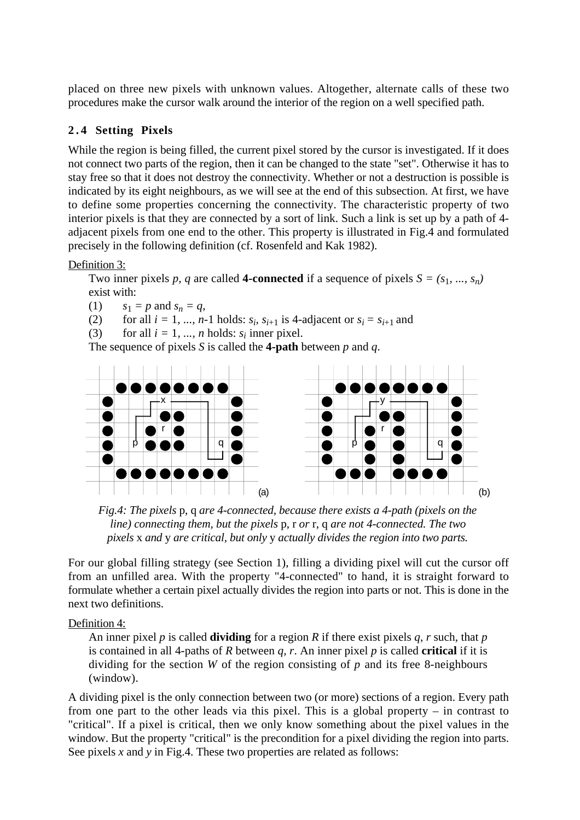placed on three new pixels with unknown values. Altogether, alternate calls of these two procedures make the cursor walk around the interior of the region on a well specified path.

### **2.4 Setting Pixels**

While the region is being filled, the current pixel stored by the cursor is investigated. If it does not connect two parts of the region, then it can be changed to the state "set". Otherwise it has to stay free so that it does not destroy the connectivity. Whether or not a destruction is possible is indicated by its eight neighbours, as we will see at the end of this subsection. At first, we have to define some properties concerning the connectivity. The characteristic property of two interior pixels is that they are connected by a sort of link. Such a link is set up by a path of 4 adjacent pixels from one end to the other. This property is illustrated in Fig.4 and formulated precisely in the following definition (cf. Rosenfeld and Kak 1982).

### Definition 3:

Two inner pixels *p, q* are called **4-connected** if a sequence of pixels  $S = (s_1, ..., s_n)$ exist with:

(1)  $s_1 = p$  and  $s_n = q$ ,

(2) for all  $i = 1, ..., n-1$  holds:  $s_i$ ,  $s_{i+1}$  is 4-adjacent or  $s_i = s_{i+1}$  and

(3) for all  $i = 1, ..., n$  holds:  $s_i$  inner pixel.

The sequence of pixels *S* is called the **4-path** between *p* and *q*.



*Fig.4: The pixels* p, q *are 4-connected, because there exists a 4-path (pixels on the line) connecting them, but the pixels* p, r *or* r, q *are not 4-connected. The two pixels* x *and* y *are critical, but only* y *actually divides the region into two parts.*

For our global filling strategy (see Section 1), filling a dividing pixel will cut the cursor off from an unfilled area. With the property "4-connected" to hand, it is straight forward to formulate whether a certain pixel actually divides the region into parts or not. This is done in the next two definitions.

Definition 4:

An inner pixel *p* is called **dividing** for a region *R* if there exist pixels *q, r* such, that *p* is contained in all 4-paths of *R* between *q, r*. An inner pixel *p* is called **critical** if it is dividing for the section *W* of the region consisting of *p* and its free 8-neighbours (window).

A dividing pixel is the only connection between two (or more) sections of a region. Every path from one part to the other leads via this pixel. This is a global property – in contrast to "critical". If a pixel is critical, then we only know something about the pixel values in the window. But the property "critical" is the precondition for a pixel dividing the region into parts. See pixels *x* and *y* in Fig.4. These two properties are related as follows: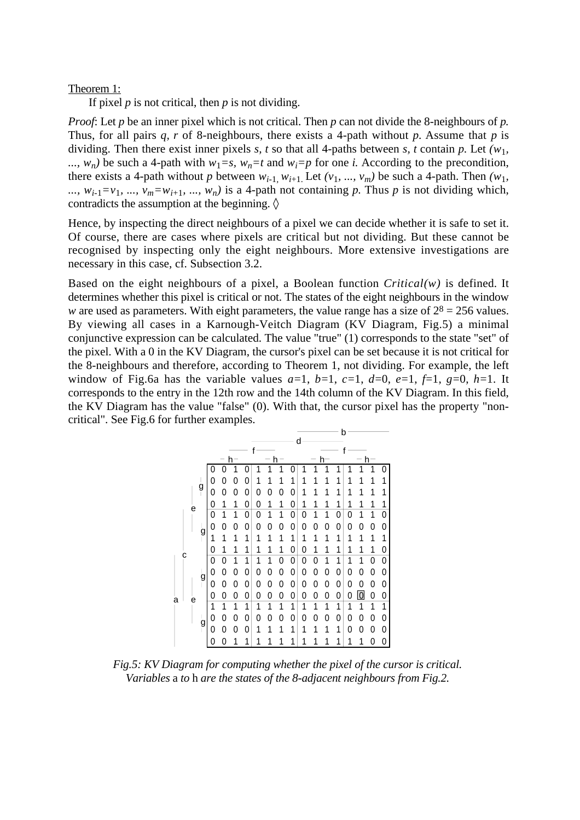#### Theorem 1:

If pixel *p* is not critical, then *p* is not dividing.

*Proof*: Let *p* be an inner pixel which is not critical. Then *p* can not divide the 8-neighbours of *p.* Thus, for all pairs *q, r* of 8-neighbours, there exists a 4-path without *p.* Assume that *p* is dividing. Then there exist inner pixels *s, t* so that all 4-paths between *s, t* contain *p.* Let *(w*1*,* ...,  $w_n$ ) be such a 4-path with  $w_1 = s$ ,  $w_n = t$  and  $w_i = p$  for one *i*. According to the precondition, there exists a 4-path without *p* between  $w_{i-1}$ ,  $w_{i+1}$ . Let  $(v_1, ..., v_m)$  be such a 4-path. Then  $(w_1,$ ...,  $w_{i-1} = v_1$ , ...,  $v_m = w_{i+1}$ , ...,  $w_n$ ) is a 4-path not containing *p*. Thus *p* is not dividing which, contradicts the assumption at the beginning.  $\Diamond$ 

Hence, by inspecting the direct neighbours of a pixel we can decide whether it is safe to set it. Of course, there are cases where pixels are critical but not dividing. But these cannot be recognised by inspecting only the eight neighbours. More extensive investigations are necessary in this case, cf. Subsection 3.2.

Based on the eight neighbours of a pixel, a Boolean function *Critical(w)* is defined. It determines whether this pixel is critical or not. The states of the eight neighbours in the window *w* are used as parameters. With eight parameters, the value range has a size of  $2^8 = 256$  values. By viewing all cases in a Karnough-Veitch Diagram (KV Diagram, Fig.5) a minimal conjunctive expression can be calculated. The value "true" (1) corresponds to the state "set" of the pixel. With a 0 in the KV Diagram, the cursor's pixel can be set because it is not critical for the 8-neighbours and therefore, according to Theorem 1, not dividing. For example, the left window of Fig.6a has the variable values  $a=1$ ,  $b=1$ ,  $c=1$ ,  $d=0$ ,  $e=1$ ,  $f=1$ ,  $g=0$ ,  $h=1$ . It corresponds to the entry in the 12th row and the 14th column of the KV Diagram. In this field, the KV Diagram has the value "false" (0). With that, the cursor pixel has the property "noncritical". See Fig.6 for further examples.



*Fig.5: KV Diagram for computing whether the pixel of the cursor is critical. Variables* a *to* h *are the states of the 8-adjacent neighbours from Fig.2.*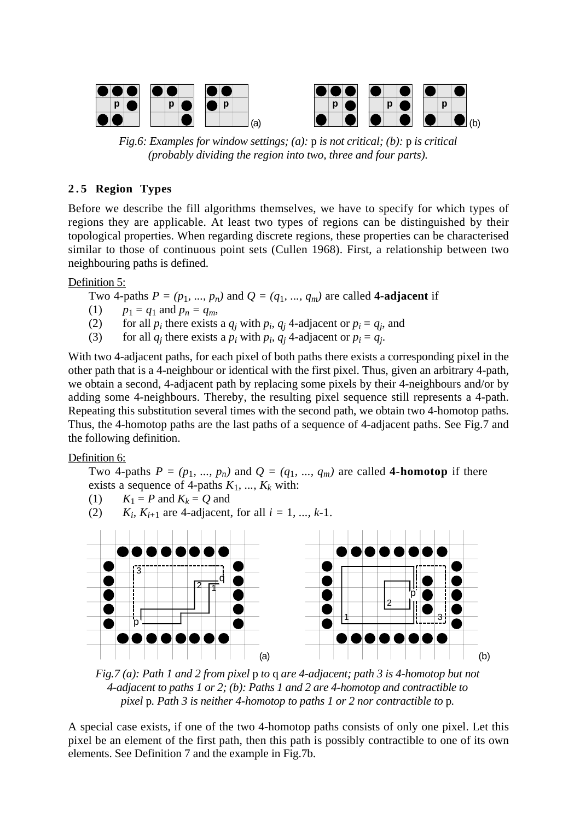

*Fig.6: Examples for window settings; (a):* p *is not critical; (b):* p *is critical (probably dividing the region into two, three and four parts).*

### **2.5 Region Types**

Before we describe the fill algorithms themselves, we have to specify for which types of regions they are applicable. At least two types of regions can be distinguished by their topological properties. When regarding discrete regions, these properties can be characterised similar to those of continuous point sets (Cullen 1968). First, a relationship between two neighbouring paths is defined.

Definition 5:

Two 4-paths  $P = (p_1, ..., p_n)$  and  $Q = (q_1, ..., q_m)$  are called **4-adjacent** if

- (1)  $p_1 = q_1$  and  $p_n = q_m$ ,
- (2) for all  $p_i$  there exists a  $q_j$  with  $p_i$ ,  $q_j$  4-adjacent or  $p_i = q_j$ , and
- (3) for all  $q_j$  there exists a  $p_i$  with  $p_i$ ,  $q_j$  4-adjacent or  $p_i = q_j$ .

With two 4-adjacent paths, for each pixel of both paths there exists a corresponding pixel in the other path that is a 4-neighbour or identical with the first pixel. Thus, given an arbitrary 4-path, we obtain a second, 4-adjacent path by replacing some pixels by their 4-neighbours and/or by adding some 4-neighbours. Thereby, the resulting pixel sequence still represents a 4-path. Repeating this substitution several times with the second path, we obtain two 4-homotop paths. Thus, the 4-homotop paths are the last paths of a sequence of 4-adjacent paths. See Fig.7 and the following definition.

Definition 6:

Two 4-paths  $P = (p_1, ..., p_n)$  and  $Q = (q_1, ..., q_m)$  are called **4-homotop** if there exists a sequence of 4-paths  $K_1$ , ...,  $K_k$  with:

- (1)  $K_1 = P$  and  $K_k = Q$  and
- $(2)$ *K<sub>i</sub>*, *K*<sub>*i*+1</sub> are 4-adjacent, for all  $i = 1, ..., k-1$ .



*Fig.7 (a): Path 1 and 2 from pixel* p *to* q *are 4-adjacent; path 3 is 4-homotop but not 4-adjacent to paths 1 or 2; (b): Paths 1 and 2 are 4-homotop and contractible to pixel* p*. Path 3 is neither 4-homotop to paths 1 or 2 nor contractible to* p*.*

A special case exists, if one of the two 4-homotop paths consists of only one pixel. Let this pixel be an element of the first path, then this path is possibly contractible to one of its own elements. See Definition 7 and the example in Fig.7b.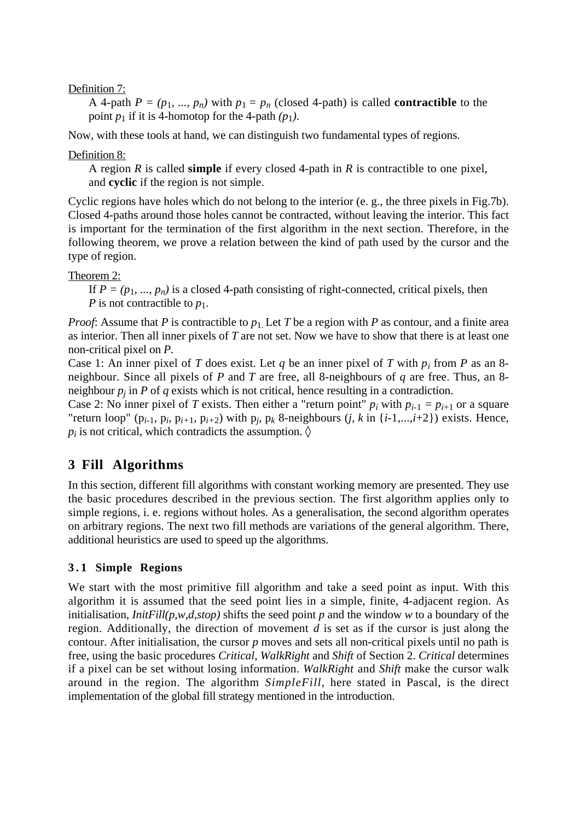Definition 7:

A 4-path  $P = (p_1, ..., p_n)$  with  $p_1 = p_n$  (closed 4-path) is called **contractible** to the point  $p_1$  if it is 4-homotop for the 4-path  $(p_1)$ .

Now, with these tools at hand, we can distinguish two fundamental types of regions.

Definition 8:

A region *R* is called **simple** if every closed 4-path in *R* is contractible to one pixel, and **cyclic** if the region is not simple.

Cyclic regions have holes which do not belong to the interior (e. g., the three pixels in Fig.7b). Closed 4-paths around those holes cannot be contracted, without leaving the interior. This fact is important for the termination of the first algorithm in the next section. Therefore, in the following theorem, we prove a relation between the kind of path used by the cursor and the type of region.

Theorem 2:

If  $P = (p_1, ..., p_n)$  is a closed 4-path consisting of right-connected, critical pixels, then *P* is not contractible to  $p_1$ .

*Proof*: Assume that *P* is contractible to  $p_1$ . Let *T* be a region with *P* as contour, and a finite area as interior. Then all inner pixels of *T* are not set. Now we have to show that there is at least one non-critical pixel on *P*.

Case 1: An inner pixel of *T* does exist. Let *q* be an inner pixel of *T* with  $p_i$  from *P* as an 8neighbour. Since all pixels of *P* and *T* are free, all 8-neighbours of *q* are free. Thus, an 8 neighbour  $p_j$  in  $P$  of  $q$  exists which is not critical, hence resulting in a contradiction.

Case 2: No inner pixel of *T* exists. Then either a "return point"  $p_i$  with  $p_{i-1} = p_{i+1}$  or a square "return loop" ( $p_{i-1}$ ,  $p_i$ ,  $p_{i+1}$ ,  $p_{i+2}$ ) with  $p_j$ ,  $p_k$  8-neighbours (*j*, *k* in {*i*-1,...,*i*+2}) exists. Hence,  $p_i$  is not critical, which contradicts the assumption.  $\Diamond$ 

# **3 Fill Algorithms**

In this section, different fill algorithms with constant working memory are presented. They use the basic procedures described in the previous section. The first algorithm applies only to simple regions, i. e. regions without holes. As a generalisation, the second algorithm operates on arbitrary regions. The next two fill methods are variations of the general algorithm. There, additional heuristics are used to speed up the algorithms.

### **3.1 Simple Regions**

We start with the most primitive fill algorithm and take a seed point as input. With this algorithm it is assumed that the seed point lies in a simple, finite, 4-adjacent region. As initialisation, *InitFill(p,w,d,stop)* shifts the seed point *p* and the window *w* to a boundary of the region. Additionally, the direction of movement *d* is set as if the cursor is just along the contour. After initialisation, the cursor *p* moves and sets all non-critical pixels until no path is free, using the basic procedures *Critical*, *WalkRight* and *Shift* of Section 2. *Critical* determines if a pixel can be set without losing information. *WalkRight* and *Shift* make the cursor walk around in the region. The algorithm *SimpleFill*, here stated in Pascal, is the direct implementation of the global fill strategy mentioned in the introduction.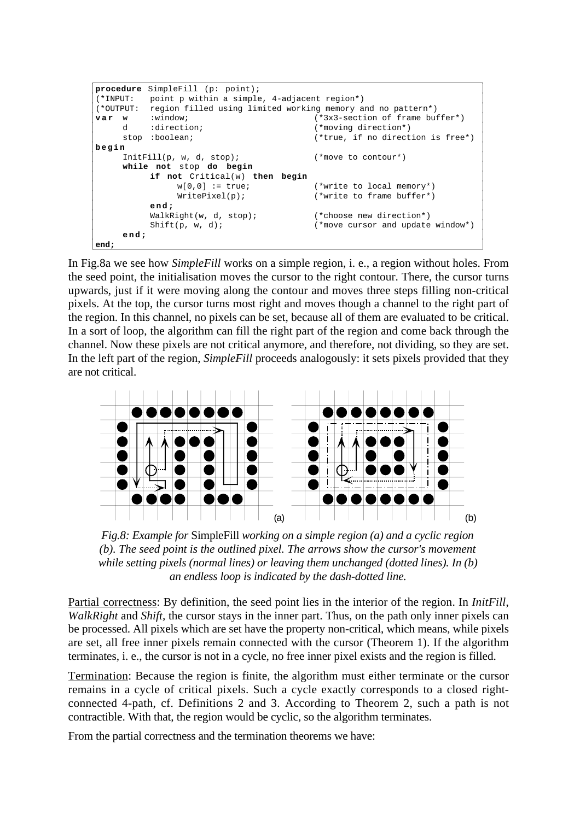```
procedure SimpleFill (p: point);
(*INPUT: point p within a simple, 4-adjacent region*)
(*OUTPUT: region filled using limited working memory and no pattern*)
var w :window; (*3x3-section of frame buffer*)d :direction; \star (*moving direction*)<br>stop :boolean; (*true, if no direct
                                         (*true, if no direction is free*)begin
     InitFill(p, w, d, stop); (*move to contour*)
     while not stop do begin
          if not Critical(w) then begin w[0,0] := true;
                                        (*write to local memory*)WritePixel(p); (*write to frame buffer*)
          end;
          WalkRight(w, d, stop); (*choose new direction*)
          Shift(p, w, d); (*move cursor and update window*)end;
end;
```
In Fig.8a we see how *SimpleFill* works on a simple region, i. e., a region without holes. From the seed point, the initialisation moves the cursor to the right contour. There, the cursor turns upwards, just if it were moving along the contour and moves three steps filling non-critical pixels. At the top, the cursor turns most right and moves though a channel to the right part of the region. In this channel, no pixels can be set, because all of them are evaluated to be critical. In a sort of loop, the algorithm can fill the right part of the region and come back through the channel. Now these pixels are not critical anymore, and therefore, not dividing, so they are set. In the left part of the region, *SimpleFill* proceeds analogously: it sets pixels provided that they are not critical.



*Fig.8: Example for* SimpleFill *working on a simple region (a) and a cyclic region (b). The seed point is the outlined pixel. The arrows show the cursor's movement while setting pixels (normal lines) or leaving them unchanged (dotted lines). In (b) an endless loop is indicated by the dash-dotted line.*

Partial correctness: By definition, the seed point lies in the interior of the region. In *InitFill*, *WalkRight* and *Shift,* the cursor stays in the inner part. Thus, on the path only inner pixels can be processed. All pixels which are set have the property non-critical, which means, while pixels are set, all free inner pixels remain connected with the cursor (Theorem 1). If the algorithm terminates, i. e., the cursor is not in a cycle, no free inner pixel exists and the region is filled.

Termination: Because the region is finite, the algorithm must either terminate or the cursor remains in a cycle of critical pixels. Such a cycle exactly corresponds to a closed rightconnected 4-path, cf. Definitions 2 and 3. According to Theorem 2, such a path is not contractible. With that, the region would be cyclic, so the algorithm terminates.

From the partial correctness and the termination theorems we have: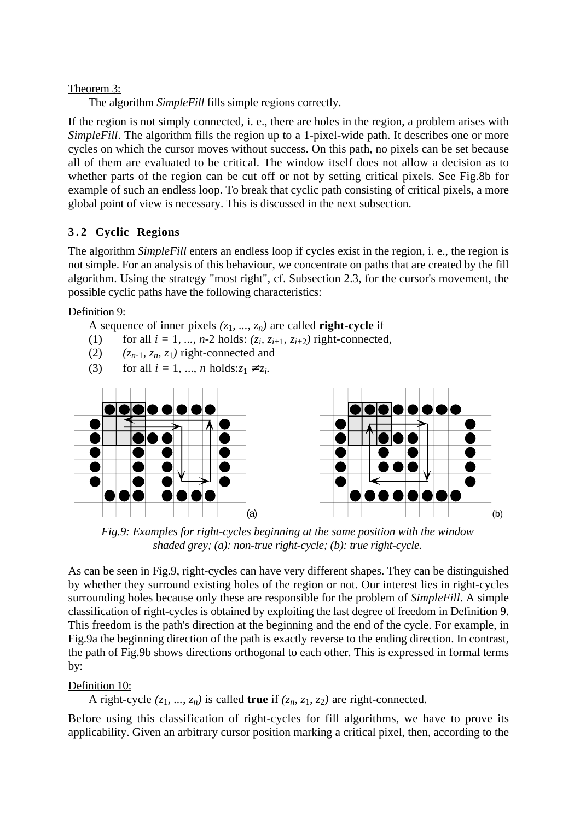Theorem 3:

The algorithm *SimpleFill* fills simple regions correctly.

If the region is not simply connected, i. e., there are holes in the region, a problem arises with *SimpleFill*. The algorithm fills the region up to a 1-pixel-wide path. It describes one or more cycles on which the cursor moves without success. On this path, no pixels can be set because all of them are evaluated to be critical. The window itself does not allow a decision as to whether parts of the region can be cut off or not by setting critical pixels. See Fig.8b for example of such an endless loop. To break that cyclic path consisting of critical pixels, a more global point of view is necessary. This is discussed in the next subsection.

## **3.2 Cyclic Regions**

The algorithm *SimpleFill* enters an endless loop if cycles exist in the region, i. e., the region is not simple. For an analysis of this behaviour, we concentrate on paths that are created by the fill algorithm. Using the strategy "most right", cf. Subsection 2.3, for the cursor's movement, the possible cyclic paths have the following characteristics:

Definition 9:

A sequence of inner pixels  $(z_1, ..., z_n)$  are called **right-cycle** if

- (1) for all  $i = 1, ..., n-2$  holds:  $(z_i, z_{i+1}, z_{i+2})$  right-connected,
- (2)  $(z_{n-1}, z_n, z_1)$  right-connected and
- (3) for all  $i = 1, ..., n$  holds: $z_1 \neq z_i$ .



*Fig.9: Examples for right-cycles beginning at the same position with the window shaded grey; (a): non-true right-cycle; (b): true right-cycle.*

As can be seen in Fig.9, right-cycles can have very different shapes. They can be distinguished by whether they surround existing holes of the region or not. Our interest lies in right-cycles surrounding holes because only these are responsible for the problem of *SimpleFill*. A simple classification of right-cycles is obtained by exploiting the last degree of freedom in Definition 9. This freedom is the path's direction at the beginning and the end of the cycle. For example, in Fig.9a the beginning direction of the path is exactly reverse to the ending direction. In contrast, the path of Fig.9b shows directions orthogonal to each other. This is expressed in formal terms by:

### Definition 10:

A right-cycle  $(z_1, ..., z_n)$  is called **true** if  $(z_n, z_1, z_2)$  are right-connected.

Before using this classification of right-cycles for fill algorithms, we have to prove its applicability. Given an arbitrary cursor position marking a critical pixel, then, according to the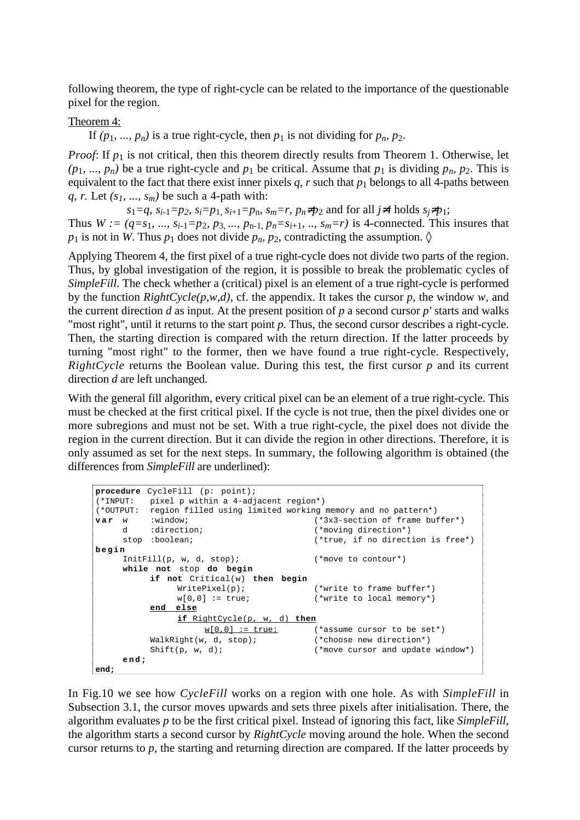following theorem, the type of right-cycle can be related to the importance of the questionable pixel for the region.

#### Theorem 4:

If  $(p_1, ..., p_n)$  is a true right-cycle, then  $p_1$  is not dividing for  $p_n$ ,  $p_2$ .

*Proof*: If  $p_1$  is not critical, then this theorem directly results from Theorem 1. Otherwise, let  $(p_1, ..., p_n)$  be a true right-cycle and  $p_1$  be critical. Assume that  $p_1$  is dividing  $p_n$ ,  $p_2$ . This is equivalent to the fact that there exist inner pixels  $q$ ,  $r$  such that  $p_1$  belongs to all 4-paths between *q, r.* Let *(s1, ..., sm)* be such a 4-path with:

 $s_1=q$ ,  $s_{i-1}=p_2$ ,  $s_i=p_1$ ,  $s_{i+1}=p_n$ ,  $s_m=r$ ,  $p_n\neq p_2$  and for all  $j\neq i$  holds  $s_j\neq p_1$ ; Thus  $W := (q = s_1, ..., s_{i-1} = p_2, p_3, ..., p_{n-1}, p_n = s_{i+1}, ..., s_m = r)$  is 4-connected. This insures that  $p_1$  is not in *W*. Thus  $p_1$  does not divide  $p_n$ ,  $p_2$ , contradicting the assumption.  $\Diamond$ 

Applying Theorem 4, the first pixel of a true right-cycle does not divide two parts of the region. Thus, by global investigation of the region, it is possible to break the problematic cycles of *SimpleFill*. The check whether a (critical) pixel is an element of a true right-cycle is performed by the function *RightCycle(p,w,d)*, cf. the appendix. It takes the cursor *p,* the window *w,* and the current direction *d* as input. At the present position of *p* a second cursor *p'* starts and walks "most right", until it returns to the start point *p*. Thus, the second cursor describes a right-cycle. Then, the starting direction is compared with the return direction. If the latter proceeds by turning "most right" to the former, then we have found a true right-cycle. Respectively, *RightCycle* returns the Boolean value. During this test, the first cursor *p* and its current direction *d* are left unchanged.

With the general fill algorithm, every critical pixel can be an element of a true right-cycle. This must be checked at the first critical pixel. If the cycle is not true, then the pixel divides one or more subregions and must not be set. With a true right-cycle, the pixel does not divide the region in the current direction. But it can divide the region in other directions. Therefore, it is only assumed as set for the next steps. In summary, the following algorithm is obtained (the differences from *SimpleFill* are underlined):

```
procedure CycleFill (p: point);
(*INPUT: pixel p within a 4-adjacent region*)
(*OUTPUT: region filled using limited working memory and no pattern*)<br>
var w :window; (*3x3-section of frame but<br>
d :direction; (*moving direction*)
                                              (*3x3-section of frame buffer*)d :direction; \qquad \qquad (*moving direction*)<br>stop :boolean; \qquad \qquad (*true, if no direct
                                              (*true, if no direction is free*)begin
     InitFill(p, w, d, stop); (*move to contour*)
     while not stop do begin
           if not Critical(w) then begin
                 WritePixel(p); (*write to frame buffer*)
                 w[0,0] := true; (*write to local memory*)
           end else
                 if RightCycle(p, w, d) then
                      w[0,0] := true; (*assume cursor to be set*)
           WalkRight(w, d, stop); (*choose new direction*)
           Shift(p, w, d); (*move cursor and update window*)end;
end;
```
In Fig.10 we see how *CycleFill* works on a region with one hole. As with *SimpleFill* in Subsection 3.1, the cursor moves upwards and sets three pixels after initialisation. There, the algorithm evaluates *p* to be the first critical pixel. Instead of ignoring this fact, like *SimpleFill*, the algorithm starts a second cursor by *RightCycle* moving around the hole. When the second cursor returns to *p*, the starting and returning direction are compared. If the latter proceeds by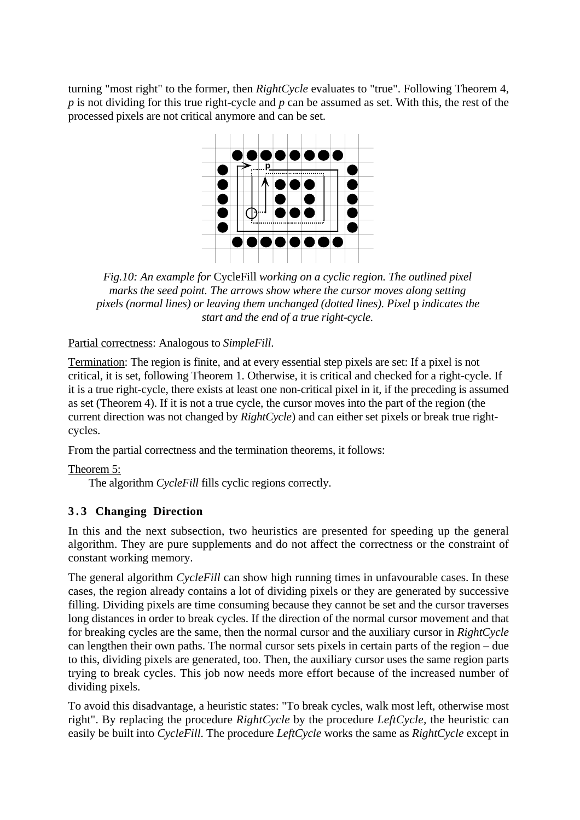turning "most right" to the former, then *RightCycle* evaluates to "true". Following Theorem 4, *p* is not dividing for this true right-cycle and *p* can be assumed as set. With this, the rest of the processed pixels are not critical anymore and can be set.



*Fig.10: An example for* CycleFill *working on a cyclic region. The outlined pixel marks the seed point. The arrows show where the cursor moves along setting pixels (normal lines) or leaving them unchanged (dotted lines). Pixel* p *indicates the start and the end of a true right-cycle.*

Partial correctness: Analogous to *SimpleFill*.

Termination: The region is finite, and at every essential step pixels are set: If a pixel is not critical, it is set, following Theorem 1. Otherwise, it is critical and checked for a right-cycle. If it is a true right-cycle, there exists at least one non-critical pixel in it, if the preceding is assumed as set (Theorem 4). If it is not a true cycle, the cursor moves into the part of the region (the current direction was not changed by *RightCycle*) and can either set pixels or break true rightcycles.

From the partial correctness and the termination theorems, it follows:

Theorem 5:

The algorithm *CycleFill* fills cyclic regions correctly.

### **3.3 Changing Direction**

In this and the next subsection, two heuristics are presented for speeding up the general algorithm. They are pure supplements and do not affect the correctness or the constraint of constant working memory.

The general algorithm *CycleFill* can show high running times in unfavourable cases. In these cases, the region already contains a lot of dividing pixels or they are generated by successive filling. Dividing pixels are time consuming because they cannot be set and the cursor traverses long distances in order to break cycles. If the direction of the normal cursor movement and that for breaking cycles are the same, then the normal cursor and the auxiliary cursor in *RightCycle* can lengthen their own paths. The normal cursor sets pixels in certain parts of the region – due to this, dividing pixels are generated, too. Then, the auxiliary cursor uses the same region parts trying to break cycles. This job now needs more effort because of the increased number of dividing pixels.

To avoid this disadvantage, a heuristic states: "To break cycles, walk most left, otherwise most right". By replacing the procedure *RightCycle* by the procedure *LeftCycle,* the heuristic can easily be built into *CycleFill*. The procedure *LeftCycle* works the same as *RightCycle* except in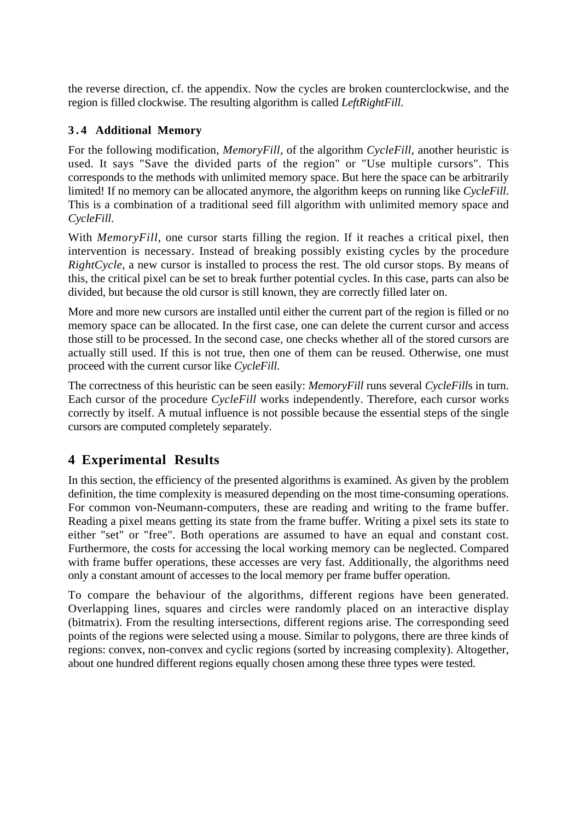the reverse direction, cf. the appendix. Now the cycles are broken counterclockwise, and the region is filled clockwise. The resulting algorithm is called *LeftRightFill*.

## **3.4 Additional Memory**

For the following modification, *MemoryFill,* of the algorithm *CycleFill,* another heuristic is used. It says "Save the divided parts of the region" or "Use multiple cursors". This corresponds to the methods with unlimited memory space. But here the space can be arbitrarily limited! If no memory can be allocated anymore, the algorithm keeps on running like *CycleFill*. This is a combination of a traditional seed fill algorithm with unlimited memory space and *CycleFill*.

With *MemoryFill*, one cursor starts filling the region. If it reaches a critical pixel, then intervention is necessary. Instead of breaking possibly existing cycles by the procedure *RightCycle*, a new cursor is installed to process the rest. The old cursor stops. By means of this, the critical pixel can be set to break further potential cycles. In this case, parts can also be divided, but because the old cursor is still known, they are correctly filled later on.

More and more new cursors are installed until either the current part of the region is filled or no memory space can be allocated. In the first case, one can delete the current cursor and access those still to be processed. In the second case, one checks whether all of the stored cursors are actually still used. If this is not true, then one of them can be reused. Otherwise, one must proceed with the current cursor like *CycleFill*.

The correctness of this heuristic can be seen easily: *MemoryFill* runs several *CycleFill*s in turn. Each cursor of the procedure *CycleFill* works independently. Therefore, each cursor works correctly by itself. A mutual influence is not possible because the essential steps of the single cursors are computed completely separately.

# **4 Experimental Results**

In this section, the efficiency of the presented algorithms is examined. As given by the problem definition, the time complexity is measured depending on the most time-consuming operations. For common von-Neumann-computers, these are reading and writing to the frame buffer. Reading a pixel means getting its state from the frame buffer. Writing a pixel sets its state to either "set" or "free". Both operations are assumed to have an equal and constant cost. Furthermore, the costs for accessing the local working memory can be neglected. Compared with frame buffer operations, these accesses are very fast. Additionally, the algorithms need only a constant amount of accesses to the local memory per frame buffer operation.

To compare the behaviour of the algorithms, different regions have been generated. Overlapping lines, squares and circles were randomly placed on an interactive display (bitmatrix). From the resulting intersections, different regions arise. The corresponding seed points of the regions were selected using a mouse. Similar to polygons, there are three kinds of regions: convex, non-convex and cyclic regions (sorted by increasing complexity). Altogether, about one hundred different regions equally chosen among these three types were tested.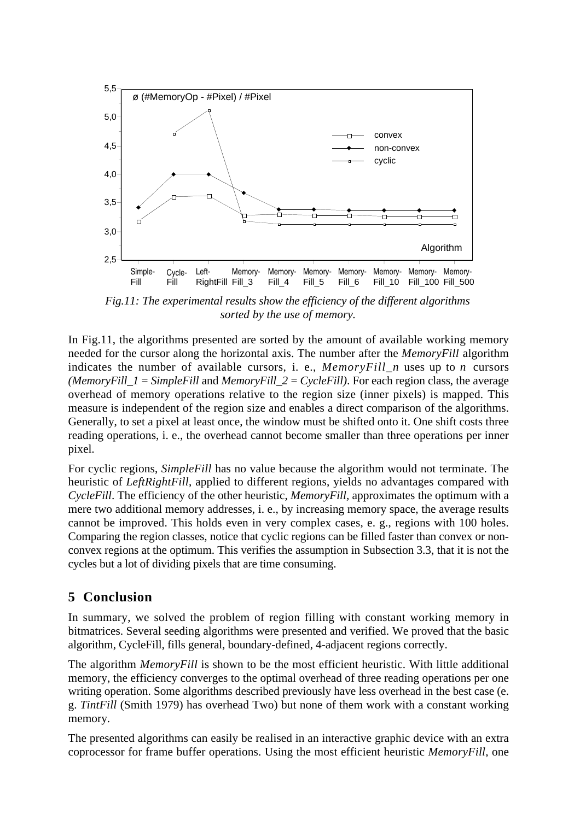

*Fig.11: The experimental results show the efficiency of the different algorithms sorted by the use of memory.*

In Fig.11, the algorithms presented are sorted by the amount of available working memory needed for the cursor along the horizontal axis. The number after the *MemoryFill* algorithm indicates the number of available cursors, i. e., *MemoryFill\_n* uses up to *n* cursors *(MemoryFill*  $1 =$  *SimpleFill and MemoryFill*  $2 =$  *<i>CycleFill)*. For each region class, the average overhead of memory operations relative to the region size (inner pixels) is mapped. This measure is independent of the region size and enables a direct comparison of the algorithms. Generally, to set a pixel at least once, the window must be shifted onto it. One shift costs three reading operations, i. e., the overhead cannot become smaller than three operations per inner pixel.

For cyclic regions, *SimpleFill* has no value because the algorithm would not terminate. The heuristic of *LeftRightFill*, applied to different regions, yields no advantages compared with *CycleFill*. The efficiency of the other heuristic, *MemoryFill,* approximates the optimum with a mere two additional memory addresses, i. e., by increasing memory space, the average results cannot be improved. This holds even in very complex cases, e. g., regions with 100 holes. Comparing the region classes, notice that cyclic regions can be filled faster than convex or nonconvex regions at the optimum. This verifies the assumption in Subsection 3.3, that it is not the cycles but a lot of dividing pixels that are time consuming.

## **5 Conclusion**

In summary, we solved the problem of region filling with constant working memory in bitmatrices. Several seeding algorithms were presented and verified. We proved that the basic algorithm, CycleFill*,* fills general, boundary-defined, 4-adjacent regions correctly.

The algorithm *MemoryFill* is shown to be the most efficient heuristic. With little additional memory, the efficiency converges to the optimal overhead of three reading operations per one writing operation. Some algorithms described previously have less overhead in the best case (e. g. *TintFill* (Smith 1979) has overhead Two) but none of them work with a constant working memory.

The presented algorithms can easily be realised in an interactive graphic device with an extra coprocessor for frame buffer operations. Using the most efficient heuristic *MemoryFill*, one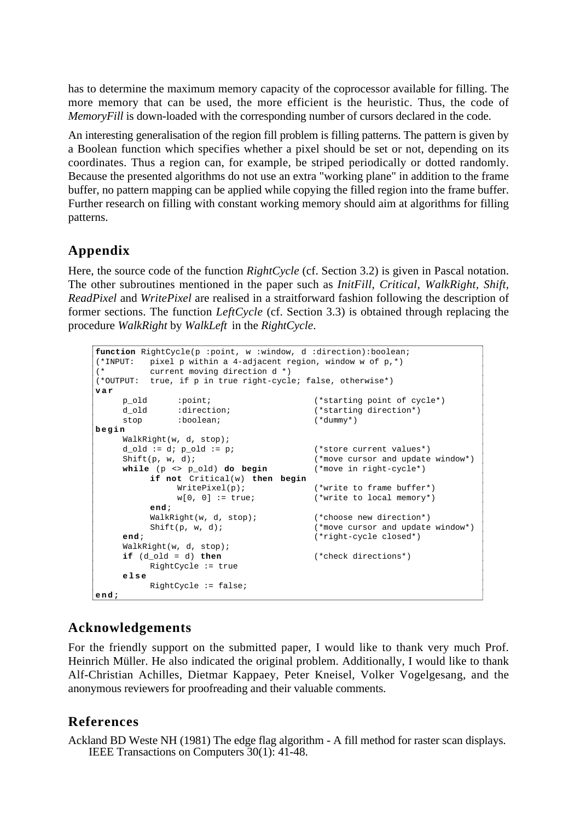has to determine the maximum memory capacity of the coprocessor available for filling. The more memory that can be used, the more efficient is the heuristic. Thus, the code of *MemoryFill* is down-loaded with the corresponding number of cursors declared in the code.

An interesting generalisation of the region fill problem is filling patterns. The pattern is given by a Boolean function which specifies whether a pixel should be set or not, depending on its coordinates. Thus a region can, for example, be striped periodically or dotted randomly. Because the presented algorithms do not use an extra "working plane" in addition to the frame buffer, no pattern mapping can be applied while copying the filled region into the frame buffer. Further research on filling with constant working memory should aim at algorithms for filling patterns.

# **Appendix**

Here, the source code of the function *RightCycle* (cf. Section 3.2) is given in Pascal notation. The other subroutines mentioned in the paper such as *InitFill, Critical, WalkRight, Shift, ReadPixel* and *WritePixel* are realised in a straitforward fashion following the description of former sections. The function *LeftCycle* (cf. Section 3.3) is obtained through replacing the procedure *WalkRight* by *WalkLeft* in the *RightCycle*.

```
function RightCycle(p :point, w :window, d :direction):boolean;
(*INPUT: pixel p within a 4-adjacent region, window w of p,*)
(* current moving direction d *)
(*OUTPUT: true, if p in true right-cycle; false, otherwise*)
var
    p_old :point; (*starting point of cycle*)
    d_old :direction; (*starting direction*)
    d_old :direction; (*starting<br>stop :boolean; (*dummy*)
begin
    WalkRight(w, d, stop);
    d_old := d; p\_old := p; (*store current values*)Shift(p, w, d); (*move cursor and update window*)while (p <> p_old) do begin (*move in right-cycle*)
        if not Critical(w) then begin
             WritePixel(p); (*write to frame buffer*)
             w[0, 0] := true; (*write to local memory*)
         end;
         WalkRight(w, d, stop); (*choose new direction*)
         Shift(p, w, d); (*move cursor and update window*)end; (*right-cycle closed*)
    WalkRight(w, d, stop);
    if (d_old = d) then (*check directions*)
        RightCycle := true
    else
         RightCycle := false;
end;
```
# **Acknowledgements**

For the friendly support on the submitted paper, I would like to thank very much Prof. Heinrich Müller. He also indicated the original problem. Additionally, I would like to thank Alf-Christian Achilles, Dietmar Kappaey, Peter Kneisel, Volker Vogelgesang, and the anonymous reviewers for proofreading and their valuable comments.

## **References**

Ackland BD Weste NH (1981) The edge flag algorithm - A fill method for raster scan displays. IEEE Transactions on Computers 30(1): 41-48.